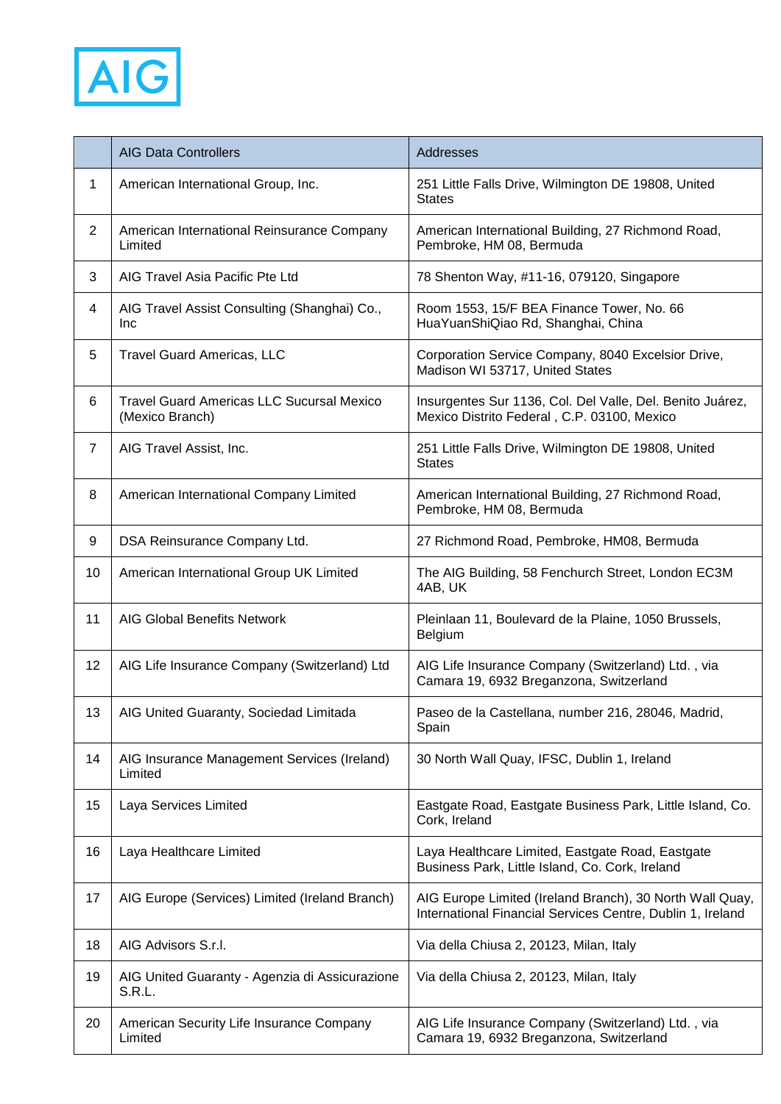

|                | <b>AIG Data Controllers</b>                                         | Addresses                                                                                                              |
|----------------|---------------------------------------------------------------------|------------------------------------------------------------------------------------------------------------------------|
| 1              | American International Group, Inc.                                  | 251 Little Falls Drive, Wilmington DE 19808, United<br><b>States</b>                                                   |
| $\overline{2}$ | American International Reinsurance Company<br>Limited               | American International Building, 27 Richmond Road,<br>Pembroke, HM 08, Bermuda                                         |
| 3              | AIG Travel Asia Pacific Pte Ltd                                     | 78 Shenton Way, #11-16, 079120, Singapore                                                                              |
| 4              | AIG Travel Assist Consulting (Shanghai) Co.,<br>Inc                 | Room 1553, 15/F BEA Finance Tower, No. 66<br>HuaYuanShiQiao Rd, Shanghai, China                                        |
| 5              | <b>Travel Guard Americas, LLC</b>                                   | Corporation Service Company, 8040 Excelsior Drive,<br>Madison WI 53717, United States                                  |
| 6              | <b>Travel Guard Americas LLC Sucursal Mexico</b><br>(Mexico Branch) | Insurgentes Sur 1136, Col. Del Valle, Del. Benito Juárez,<br>Mexico Distrito Federal, C.P. 03100, Mexico               |
| $\overline{7}$ | AIG Travel Assist, Inc.                                             | 251 Little Falls Drive, Wilmington DE 19808, United<br><b>States</b>                                                   |
| 8              | American International Company Limited                              | American International Building, 27 Richmond Road,<br>Pembroke, HM 08, Bermuda                                         |
| 9              | DSA Reinsurance Company Ltd.                                        | 27 Richmond Road, Pembroke, HM08, Bermuda                                                                              |
| 10             | American International Group UK Limited                             | The AIG Building, 58 Fenchurch Street, London EC3M<br>4AB, UK                                                          |
| 11             | <b>AIG Global Benefits Network</b>                                  | Pleinlaan 11, Boulevard de la Plaine, 1050 Brussels,<br>Belgium                                                        |
| 12             | AIG Life Insurance Company (Switzerland) Ltd                        | AIG Life Insurance Company (Switzerland) Ltd., via<br>Camara 19, 6932 Breganzona, Switzerland                          |
| 13             | AIG United Guaranty, Sociedad Limitada                              | Paseo de la Castellana, number 216, 28046, Madrid,<br>Spain                                                            |
| 14             | AIG Insurance Management Services (Ireland)<br>Limited              | 30 North Wall Quay, IFSC, Dublin 1, Ireland                                                                            |
| 15             | Laya Services Limited                                               | Eastgate Road, Eastgate Business Park, Little Island, Co.<br>Cork, Ireland                                             |
| 16             | Laya Healthcare Limited                                             | Laya Healthcare Limited, Eastgate Road, Eastgate<br>Business Park, Little Island, Co. Cork, Ireland                    |
| 17             | AIG Europe (Services) Limited (Ireland Branch)                      | AIG Europe Limited (Ireland Branch), 30 North Wall Quay,<br>International Financial Services Centre, Dublin 1, Ireland |
| 18             | AIG Advisors S.r.I.                                                 | Via della Chiusa 2, 20123, Milan, Italy                                                                                |
| 19             | AIG United Guaranty - Agenzia di Assicurazione<br>S.R.L.            | Via della Chiusa 2, 20123, Milan, Italy                                                                                |
| 20             | American Security Life Insurance Company<br>Limited                 | AIG Life Insurance Company (Switzerland) Ltd., via<br>Camara 19, 6932 Breganzona, Switzerland                          |